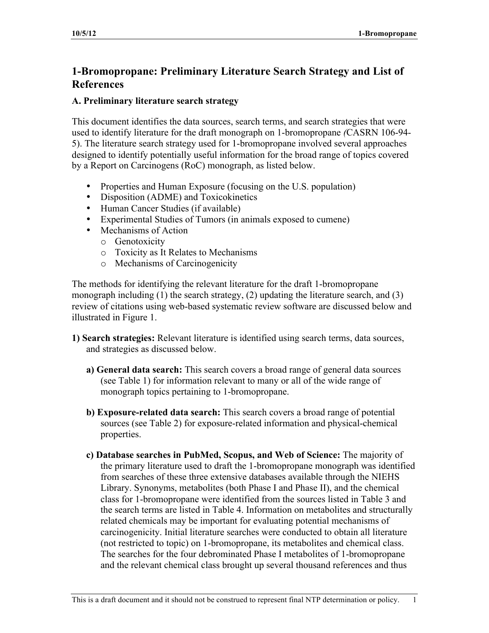# **1-Bromopropane: Preliminary Literature Search Strategy and List of References**

# **A. Preliminary literature search strategy**

This document identifies the data sources, search terms, and search strategies that were used to identify literature for the draft monograph on 1-bromopropane *(*CASRN 106-94 5). The literature search strategy used for 1-bromopropane involved several approaches designed to identify potentially useful information for the broad range of topics covered by a Report on Carcinogens (RoC) monograph, as listed below.

- Properties and Human Exposure (focusing on the U.S. population)
- Disposition (ADME) and Toxicokinetics
- Human Cancer Studies (if available)
- Experimental Studies of Tumors (in animals exposed to cumene)
- Mechanisms of Action
	- o Genotoxicity
	- o Toxicity as It Relates to Mechanisms
	- o Mechanisms of Carcinogenicity

The methods for identifying the relevant literature for the draft 1-bromopropane monograph including (1) the search strategy, (2) updating the literature search, and (3) review of citations using web-based systematic review software are discussed below and illustrated in Figure 1.

- **1) Search strategies:** Relevant literature is identified using search terms, data sources, and strategies as discussed below.
	- **a) General data search:** This search covers a broad range of general data sources (see Table 1) for information relevant to many or all of the wide range of monograph topics pertaining to 1-bromopropane.
	- **b) Exposure-related data search:** This search covers a broad range of potential sources (see Table 2) for exposure-related information and physical-chemical properties.
	- **c) Database searches in PubMed, Scopus, and Web of Science:** The majority of the primary literature used to draft the 1-bromopropane monograph was identified from searches of these three extensive databases available through the NIEHS Library. Synonyms, metabolites (both Phase I and Phase II), and the chemical class for 1-bromopropane were identified from the sources listed in Table 3 and the search terms are listed in Table 4. Information on metabolites and structurally related chemicals may be important for evaluating potential mechanisms of carcinogenicity. Initial literature searches were conducted to obtain all literature (not restricted to topic) on 1-bromopropane, its metabolites and chemical class. The searches for the four debrominated Phase I metabolites of 1-bromopropane and the relevant chemical class brought up several thousand references and thus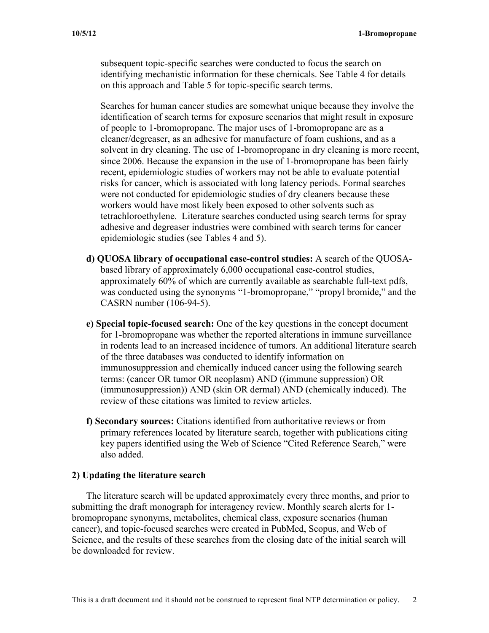subsequent topic-specific searches were conducted to focus the search on identifying mechanistic information for these chemicals. See Table 4 for details on this approach and Table 5 for topic-specific search terms.

Searches for human cancer studies are somewhat unique because they involve the identification of search terms for exposure scenarios that might result in exposure of people to 1-bromopropane. The major uses of 1-bromopropane are as a cleaner/degreaser, as an adhesive for manufacture of foam cushions, and as a solvent in dry cleaning. The use of 1-bromopropane in dry cleaning is more recent, since 2006. Because the expansion in the use of 1-bromopropane has been fairly recent, epidemiologic studies of workers may not be able to evaluate potential risks for cancer, which is associated with long latency periods. Formal searches were not conducted for epidemiologic studies of dry cleaners because these workers would have most likely been exposed to other solvents such as tetrachloroethylene. Literature searches conducted using search terms for spray adhesive and degreaser industries were combined with search terms for cancer epidemiologic studies (see Tables 4 and 5).

- **d) QUOSA library of occupational case-control studies:** A search of the QUOSAbased library of approximately 6,000 occupational case-control studies, approximately 60% of which are currently available as searchable full-text pdfs, was conducted using the synonyms "1-bromopropane," "propyl bromide," and the CASRN number (106-94-5).
- **e) Special topic-focused search:** One of the key questions in the concept document for 1-bromopropane was whether the reported alterations in immune surveillance in rodents lead to an increased incidence of tumors. An additional literature search of the three databases was conducted to identify information on immunosuppression and chemically induced cancer using the following search terms: (cancer OR tumor OR neoplasm) AND ((immune suppression) OR (immunosuppression)) AND (skin OR dermal) AND (chemically induced). The review of these citations was limited to review articles.
- **f) Secondary sources:** Citations identified from authoritative reviews or from primary references located by literature search, together with publications citing key papers identified using the Web of Science "Cited Reference Search," were also added.

#### **2) Updating the literature search**

The literature search will be updated approximately every three months, and prior to submitting the draft monograph for interagency review. Monthly search alerts for 1 bromopropane synonyms, metabolites, chemical class, exposure scenarios (human cancer), and topic-focused searches were created in PubMed, Scopus, and Web of Science, and the results of these searches from the closing date of the initial search will be downloaded for review.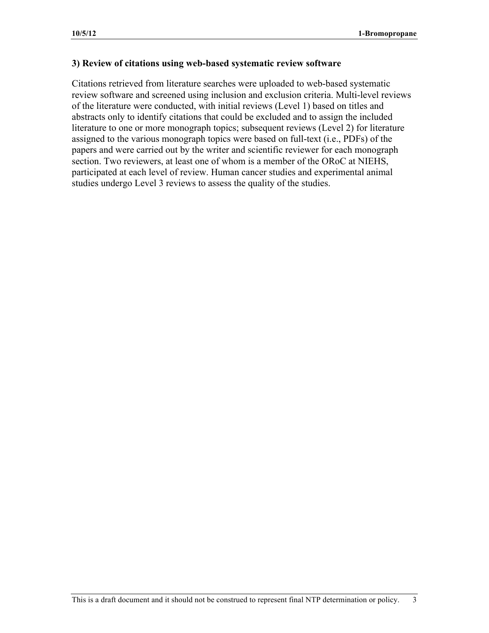### **3) Review of citations using web-based systematic review software**

Citations retrieved from literature searches were uploaded to web-based systematic review software and screened using inclusion and exclusion criteria. Multi-level reviews of the literature were conducted, with initial reviews (Level 1) based on titles and abstracts only to identify citations that could be excluded and to assign the included literature to one or more monograph topics; subsequent reviews (Level 2) for literature assigned to the various monograph topics were based on full-text (i.e., PDFs) of the papers and were carried out by the writer and scientific reviewer for each monograph section. Two reviewers, at least one of whom is a member of the ORoC at NIEHS, participated at each level of review. Human cancer studies and experimental animal studies undergo Level 3 reviews to assess the quality of the studies.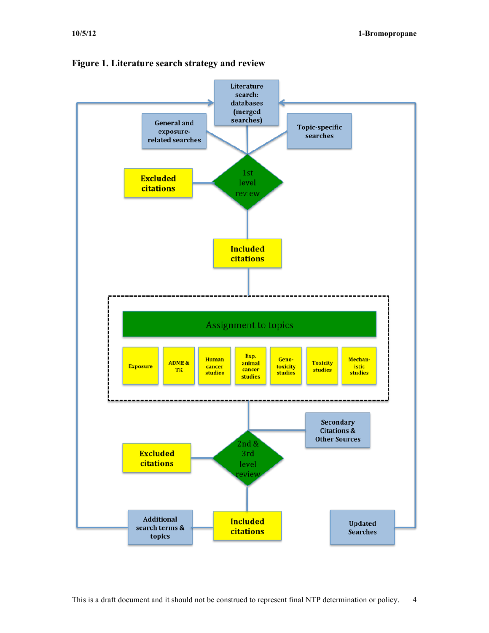

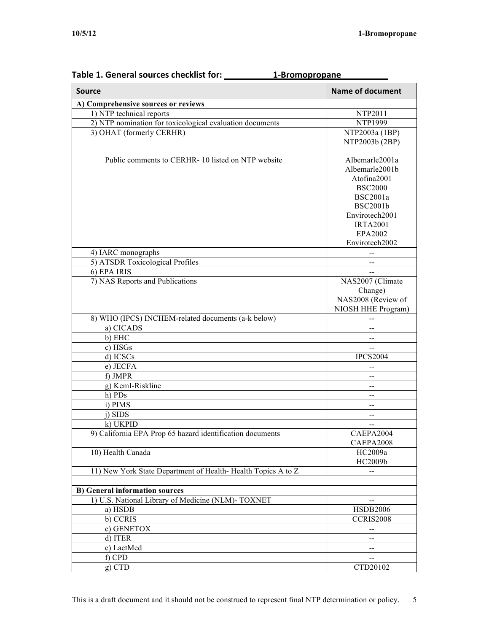| <b>Source</b>                                                | <b>Name of document</b>                       |
|--------------------------------------------------------------|-----------------------------------------------|
| A) Comprehensive sources or reviews                          |                                               |
| 1) NTP technical reports                                     | NTP2011                                       |
| 2) NTP nomination for toxicological evaluation documents     | <b>NTP1999</b>                                |
| 3) OHAT (formerly CERHR)                                     | NTP2003a (1BP)                                |
|                                                              | NTP2003b (2BP)                                |
|                                                              |                                               |
| Public comments to CERHR-10 listed on NTP website            | Albemarle2001a                                |
|                                                              | Albemarle2001b                                |
|                                                              | Atofina2001                                   |
|                                                              | <b>BSC2000</b>                                |
|                                                              | <b>BSC2001a</b>                               |
|                                                              | <b>BSC2001b</b>                               |
|                                                              | Envirotech2001                                |
|                                                              | <b>IRTA2001</b>                               |
|                                                              | EPA2002                                       |
|                                                              | Envirotech2002                                |
| 4) IARC monographs                                           |                                               |
| 5) ATSDR Toxicological Profiles                              |                                               |
| 6) EPA IRIS                                                  |                                               |
| 7) NAS Reports and Publications                              | NAS2007 (Climate                              |
|                                                              | Change)                                       |
|                                                              | NAS2008 (Review of                            |
|                                                              | NIOSH HHE Program)                            |
| 8) WHO (IPCS) INCHEM-related documents (a-k below)           |                                               |
| a) CICADS                                                    |                                               |
| b) EHC                                                       | $-$                                           |
| c) HSGs                                                      | $=$                                           |
| d) ICSCs                                                     | <b>IPCS2004</b>                               |
| e) JECFA                                                     |                                               |
| f) JMPR                                                      |                                               |
| g) KemI-Riskline                                             | --                                            |
| h) PDs                                                       | --                                            |
| i) PIMS                                                      |                                               |
| j) SIDS                                                      | --                                            |
| k) UKPID                                                     | $-$                                           |
| 9) California EPA Prop 65 hazard identification documents    | CAEPA2004                                     |
|                                                              | CAEPA2008                                     |
| 10) Health Canada                                            | HC2009a                                       |
|                                                              | HC2009b                                       |
| 11) New York State Department of Health-Health Topics A to Z |                                               |
|                                                              |                                               |
| <b>B)</b> General information sources                        |                                               |
| 1) U.S. National Library of Medicine (NLM)- TOXNET           | $\mathord{\hspace{1pt}\text{--}\hspace{1pt}}$ |
| a) HSDB                                                      | <b>HSDB2006</b>                               |
| b) CCRIS                                                     | CCRIS2008                                     |
| c) GENETOX                                                   | --                                            |
| d) ITER                                                      | --                                            |
| e) LactMed                                                   | --                                            |
| f) CPD                                                       | --                                            |
| $g)$ CTD                                                     | CTD20102                                      |

# **Table 1. General sources checklist for:** \_\_\_\_\_\_\_\_\_\_\_\_1-Bromopropane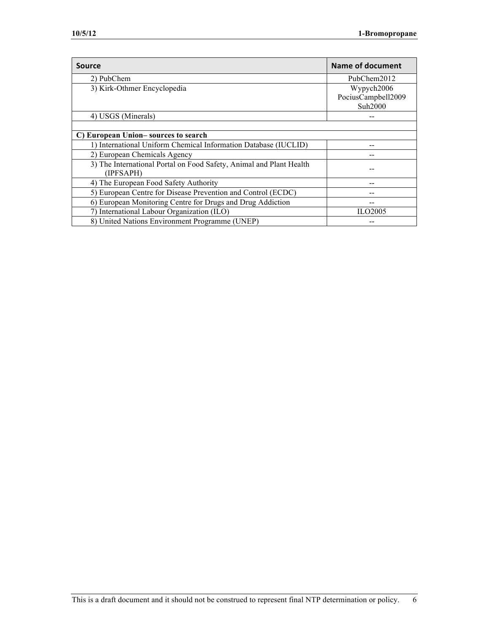| Source                                                                           | <b>Name of document</b> |
|----------------------------------------------------------------------------------|-------------------------|
| 2) PubChem                                                                       | PubChem2012             |
| 3) Kirk-Othmer Encyclopedia                                                      | Wypych2006              |
|                                                                                  | PociusCampbell2009      |
|                                                                                  | Suh2000                 |
| 4) USGS (Minerals)                                                               |                         |
|                                                                                  |                         |
| C) European Union–sources to search                                              |                         |
| 1) International Uniform Chemical Information Database (IUCLID)                  |                         |
| 2) European Chemicals Agency                                                     |                         |
| 3) The International Portal on Food Safety, Animal and Plant Health<br>(IPFSAPH) |                         |
| 4) The European Food Safety Authority                                            |                         |
| 5) European Centre for Disease Prevention and Control (ECDC)                     |                         |
| 6) European Monitoring Centre for Drugs and Drug Addiction                       |                         |
| 7) International Labour Organization (ILO)                                       | ILO2005                 |
| 8) United Nations Environment Programme (UNEP)                                   |                         |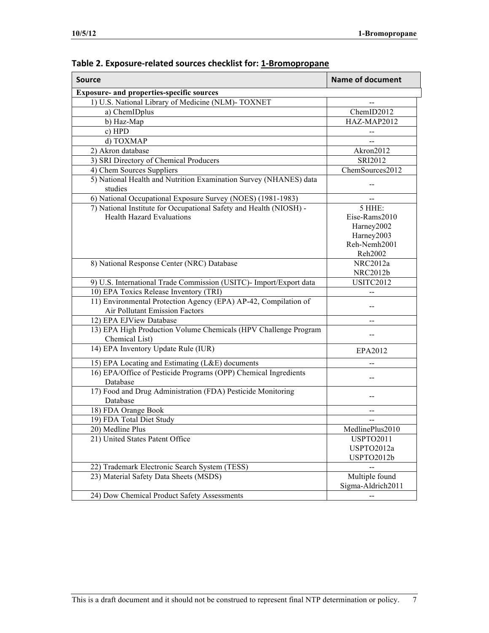| <b>Source</b>                                                                                     | <b>Name of document</b> |
|---------------------------------------------------------------------------------------------------|-------------------------|
| <b>Exposure- and properties-specific sources</b>                                                  |                         |
| 1) U.S. National Library of Medicine (NLM)- TOXNET                                                |                         |
| a) ChemIDplus                                                                                     | ChemID2012              |
| b) Haz-Map                                                                                        | HAZ-MAP2012             |
| c) HPD                                                                                            |                         |
| d) TOXMAP                                                                                         |                         |
| 2) Akron database                                                                                 | Akron2012               |
| 3) SRI Directory of Chemical Producers                                                            | SRI2012                 |
| 4) Chem Sources Suppliers                                                                         | ChemSources2012         |
| 5) National Health and Nutrition Examination Survey (NHANES) data<br>studies                      |                         |
| 6) National Occupational Exposure Survey (NOES) (1981-1983)                                       |                         |
| 7) National Institute for Occupational Safety and Health (NIOSH) -                                | 5 HHE:                  |
| <b>Health Hazard Evaluations</b>                                                                  | Eise-Rams2010           |
|                                                                                                   | Harney2002              |
|                                                                                                   | Harney2003              |
|                                                                                                   | Reh-Nemh2001            |
|                                                                                                   | Reh2002                 |
| 8) National Response Center (NRC) Database                                                        | NRC2012a                |
|                                                                                                   | NRC2012b                |
| 9) U.S. International Trade Commission (USITC)- Import/Export data                                | <b>USITC2012</b>        |
| 10) EPA Toxics Release Inventory (TRI)                                                            |                         |
| 11) Environmental Protection Agency (EPA) AP-42, Compilation of<br>Air Pollutant Emission Factors |                         |
| 12) EPA EJView Database                                                                           |                         |
| 13) EPA High Production Volume Chemicals (HPV Challenge Program<br>Chemical List)                 |                         |
| 14) EPA Inventory Update Rule (IUR)                                                               | EPA2012                 |
| 15) EPA Locating and Estimating (L&E) documents                                                   |                         |
| 16) EPA/Office of Pesticide Programs (OPP) Chemical Ingredients<br>Database                       | --                      |
| 17) Food and Drug Administration (FDA) Pesticide Monitoring<br>Database                           |                         |
| 18) FDA Orange Book                                                                               |                         |
| 19) FDA Total Diet Study                                                                          |                         |
| 20) Medline Plus                                                                                  | MedlinePlus2010         |
| 21) United States Patent Office                                                                   | <b>USPTO2011</b>        |
|                                                                                                   | USPTO2012a              |
|                                                                                                   | USPTO2012b              |
| 22) Trademark Electronic Search System (TESS)                                                     |                         |
| 23) Material Safety Data Sheets (MSDS)                                                            | Multiple found          |
|                                                                                                   | Sigma-Aldrich2011       |
| 24) Dow Chemical Product Safety Assessments                                                       |                         |

| Table 2. Exposure-related sources checklist for: 1-Bromopropane |  |
|-----------------------------------------------------------------|--|
|-----------------------------------------------------------------|--|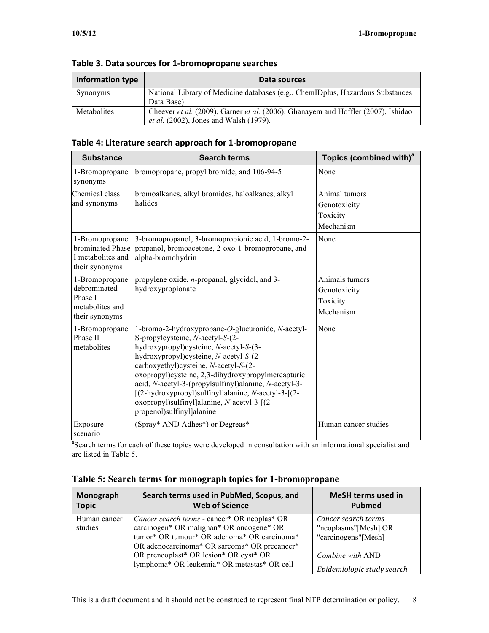| <b>Information type</b> | Data sources                                                                                                                       |
|-------------------------|------------------------------------------------------------------------------------------------------------------------------------|
| Synonyms                | National Library of Medicine databases (e.g., ChemIDplus, Hazardous Substances<br>Data Base)                                       |
| Metabolites             | Cheever et al. (2009), Garner et al. (2006), Ghanayem and Hoffler (2007), Ishidao<br><i>et al.</i> (2002), Jones and Walsh (1979). |

### Table 4: Literature search approach for 1-bromopropane

| <b>Substance</b>                                                               | <b>Search terms</b>                                                                                                                                                                                                                                                                                                                                                                                                                                                  | Topics (combined with) <sup>a</sup>                     |
|--------------------------------------------------------------------------------|----------------------------------------------------------------------------------------------------------------------------------------------------------------------------------------------------------------------------------------------------------------------------------------------------------------------------------------------------------------------------------------------------------------------------------------------------------------------|---------------------------------------------------------|
| 1-Bromopropane<br>synonyms                                                     | bromopropane, propyl bromide, and 106-94-5                                                                                                                                                                                                                                                                                                                                                                                                                           | None                                                    |
| Chemical class<br>and synonyms                                                 | bromoalkanes, alkyl bromides, haloalkanes, alkyl<br>halides                                                                                                                                                                                                                                                                                                                                                                                                          | Animal tumors<br>Genotoxicity<br>Toxicity<br>Mechanism  |
| 1-Bromopropane<br>brominated Phase<br>I metabolites and<br>their synonyms      | 3-bromopropanol, 3-bromopropionic acid, 1-bromo-2-<br>propanol, bromoacetone, 2-oxo-1-bromopropane, and<br>alpha-bromohydrin                                                                                                                                                                                                                                                                                                                                         | None                                                    |
| 1-Bromopropane<br>debrominated<br>Phase I<br>metabolites and<br>their synonyms | propylene oxide, $n$ -propanol, glycidol, and 3-<br>hydroxypropionate                                                                                                                                                                                                                                                                                                                                                                                                | Animals tumors<br>Genotoxicity<br>Toxicity<br>Mechanism |
| 1-Bromopropane<br>Phase II<br>metabolites                                      | 1-bromo-2-hydroxypropane-O-glucuronide, N-acetyl-<br>S-propylcysteine, N-acetyl-S-(2-<br>hydroxypropyl)cysteine, N-acetyl-S-(3-<br>hydroxypropyl)cysteine, N-acetyl-S-(2-<br>carboxyethyl)cysteine, N-acetyl-S-(2-<br>oxopropyl)cysteine, 2,3-dihydroxypropylmercapturic<br>acid, N-acetyl-3-(propylsulfinyl)alanine, N-acetyl-3-<br>[(2-hydroxypropyl)sulfinyl]alanine, N-acetyl-3-[(2-<br>oxopropyl)sulfinyl]alanine, N-acetyl-3-[(2-<br>propenol)sulfinyl]alanine | None                                                    |
| Exposure<br>scenario                                                           | (Spray* AND Adhes*) or Degreas*                                                                                                                                                                                                                                                                                                                                                                                                                                      | Human cancer studies                                    |

<sup>a</sup>Search terms for each of these topics were developed in consultation with an informational specialist and are listed in Table 5.

| Monograph<br><b>Topic</b> | Search terms used in PubMed, Scopus, and<br><b>Web of Science</b>                                                                                                                              | <b>MeSH terms used in</b><br><b>Pubmed</b>                           |
|---------------------------|------------------------------------------------------------------------------------------------------------------------------------------------------------------------------------------------|----------------------------------------------------------------------|
| Human cancer<br>studies   | <i>Cancer search terms</i> - cancer* OR neoplas* OR<br>carcinogen* OR malignan* OR oncogene* OR<br>tumor* OR tumour* OR adenoma* OR carcinoma*<br>OR adenocarcinoma* OR sarcoma* OR precancer* | Cancer search terms -<br>"neoplasms"[Mesh] OR<br>"carcinogens"[Mesh] |
|                           | OR preneoplast* OR lesion* OR cyst* OR<br>lymphoma* OR leukemia* OR metastas* OR cell                                                                                                          | Combine with AND<br>Epidemiologic study search                       |

#### **Table 5: Search terms for monograph topics for 1-bromopropane**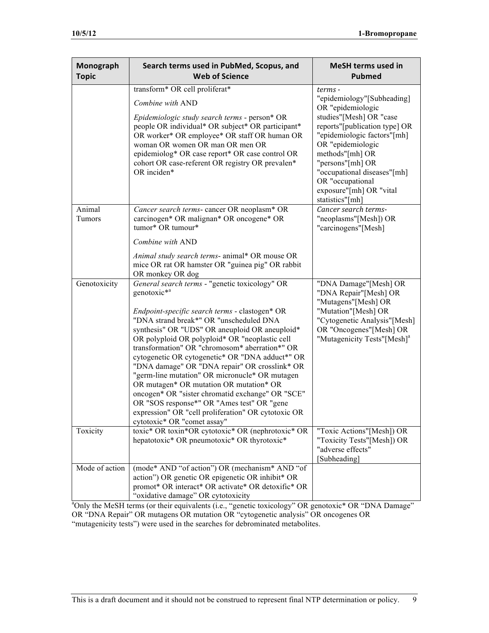| Monograph<br><b>Topic</b> | Search terms used in PubMed, Scopus, and<br><b>Web of Science</b>                                                                                                                                                                                                                                                                                                                                                                                                                                                                                                                                                                                                                                                     | <b>MeSH terms used in</b><br><b>Pubmed</b>                                                                                                                                                                                                                                |
|---------------------------|-----------------------------------------------------------------------------------------------------------------------------------------------------------------------------------------------------------------------------------------------------------------------------------------------------------------------------------------------------------------------------------------------------------------------------------------------------------------------------------------------------------------------------------------------------------------------------------------------------------------------------------------------------------------------------------------------------------------------|---------------------------------------------------------------------------------------------------------------------------------------------------------------------------------------------------------------------------------------------------------------------------|
|                           | transform* OR cell proliferat*                                                                                                                                                                                                                                                                                                                                                                                                                                                                                                                                                                                                                                                                                        | terms -                                                                                                                                                                                                                                                                   |
|                           | Combine with AND                                                                                                                                                                                                                                                                                                                                                                                                                                                                                                                                                                                                                                                                                                      | "epidemiology"[Subheading]                                                                                                                                                                                                                                                |
|                           | Epidemiologic study search terms - person* OR<br>people OR individual* OR subject* OR participant*<br>OR worker* OR employee* OR staff OR human OR<br>woman OR women OR man OR men OR<br>epidemiolog* OR case report* OR case control OR<br>cohort OR case-referent OR registry OR prevalen*<br>OR inciden*                                                                                                                                                                                                                                                                                                                                                                                                           | OR "epidemiologic<br>studies"[Mesh] OR "case<br>reports"[publication type] OR<br>"epidemiologic factors"[mh]<br>OR "epidemiologic<br>methods"[mh] OR<br>"persons"[mh] OR<br>"occupational diseases"[mh]<br>OR "occupational<br>exposure"[mh] OR "vital<br>statistics"[mh] |
| Animal<br>Tumors          | Cancer search terms-cancer OR neoplasm* OR<br>carcinogen* OR malignan* OR oncogene* OR<br>tumor* OR tumour*                                                                                                                                                                                                                                                                                                                                                                                                                                                                                                                                                                                                           | Cancer search terms-<br>"neoplasms"[Mesh]) OR<br>"carcinogens"[Mesh]                                                                                                                                                                                                      |
|                           | Combine with AND                                                                                                                                                                                                                                                                                                                                                                                                                                                                                                                                                                                                                                                                                                      |                                                                                                                                                                                                                                                                           |
|                           | Animal study search terms- animal* OR mouse OR<br>mice OR rat OR hamster OR "guinea pig" OR rabbit<br>OR monkey OR dog                                                                                                                                                                                                                                                                                                                                                                                                                                                                                                                                                                                                |                                                                                                                                                                                                                                                                           |
| Genotoxicity              | General search terms - "genetic toxicology" OR<br>genotoxic <sup>*a</sup><br>Endpoint-specific search terms - clastogen* OR<br>"DNA strand break*" OR "unscheduled DNA<br>synthesis" OR "UDS" OR aneuploid OR aneuploid*<br>OR polyploid OR polyploid* OR "neoplastic cell<br>transformation" OR "chromosom* aberration*" OR<br>cytogenetic OR cytogenetic* OR "DNA adduct*" OR<br>"DNA damage" OR "DNA repair" OR crosslink* OR<br>"germ-line mutation" OR micronucle* OR mutagen<br>OR mutagen* OR mutation OR mutation* OR<br>oncogen* OR "sister chromatid exchange" OR "SCE"<br>OR "SOS response*" OR "Ames test" OR "gene<br>expression" OR "cell proliferation" OR cytotoxic OR<br>cytotoxic* OR "comet assay" | "DNA Damage"[Mesh] OR<br>"DNA Repair"[Mesh] OR<br>"Mutagens"[Mesh] OR<br>"Mutation"[Mesh] OR<br>"Cytogenetic Analysis"[Mesh]<br>OR "Oncogenes"[Mesh] OR<br>"Mutagenicity Tests"[Mesh] <sup>a</sup>                                                                        |
| Toxicity                  | toxic* OR toxin*OR cytotoxic* OR (nephrotoxic* OR<br>hepatotoxic* OR pneumotoxic* OR thyrotoxic*                                                                                                                                                                                                                                                                                                                                                                                                                                                                                                                                                                                                                      | "Toxic Actions"[Mesh]) OR<br>"Toxicity Tests"[Mesh]) OR<br>"adverse effects"<br>[Subheading]                                                                                                                                                                              |
| Mode of action            | (mode* AND "of action") OR (mechanism* AND "of<br>action") OR genetic OR epigenetic OR inhibit* OR<br>promot* OR interact* OR activate* OR detoxific* OR<br>"oxidative damage" OR cytotoxicity                                                                                                                                                                                                                                                                                                                                                                                                                                                                                                                        |                                                                                                                                                                                                                                                                           |

<sup>a</sup>Only the MeSH terms (or their equivalents (i.e., "genetic toxicology" OR genotoxic\* OR "DNA Damage" OR "DNA Repair" OR mutagens OR mutation OR "cytogenetic analysis" OR oncogenes OR "mutagenicity tests") were used in the searches for debrominated metabolites.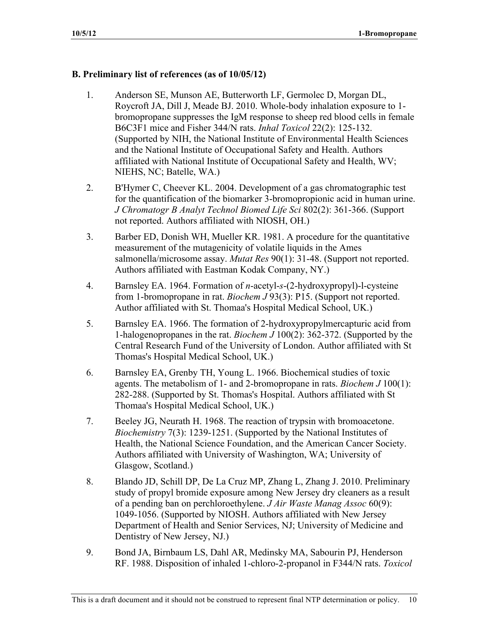## **B. Preliminary list of references (as of 10/05/12)**

- 1. Anderson SE, Munson AE, Butterworth LF, Germolec D, Morgan DL, Roycroft JA, Dill J, Meade BJ. 2010. Whole-body inhalation exposure to 1 bromopropane suppresses the IgM response to sheep red blood cells in female B6C3F1 mice and Fisher 344/N rats. *Inhal Toxicol* 22(2): 125-132. (Supported by NIH, the National Institute of Environmental Health Sciences and the National Institute of Occupational Safety and Health. Authors affiliated with National Institute of Occupational Safety and Health, WV; NIEHS, NC; Batelle, WA.)
- 2. B'Hymer C, Cheever KL. 2004. Development of a gas chromatographic test for the quantification of the biomarker 3-bromopropionic acid in human urine. *J Chromatogr B Analyt Technol Biomed Life Sci* 802(2): 361-366. (Support not reported. Authors affiliated with NIOSH, OH.)
- 3. Barber ED, Donish WH, Mueller KR. 1981. A procedure for the quantitative measurement of the mutagenicity of volatile liquids in the Ames salmonella/microsome assay. *Mutat Res* 90(1): 31-48. (Support not reported. Authors affiliated with Eastman Kodak Company, NY.)
- 4. Barnsley EA. 1964. Formation of *n*-acetyl-*s*-(2-hydroxypropyl)-l-cysteine from 1-bromopropane in rat. *Biochem J* 93(3): P15. (Support not reported. Author affiliated with St. Thomaa's Hospital Medical School, UK.)
- 5. Barnsley EA. 1966. The formation of 2-hydroxypropylmercapturic acid from 1-halogenopropanes in the rat. *Biochem J* 100(2): 362-372. (Supported by the Central Research Fund of the University of London. Author affiliated with St Thomas's Hospital Medical School, UK.)
- 6. Barnsley EA, Grenby TH, Young L. 1966. Biochemical studies of toxic agents. The metabolism of 1- and 2-bromopropane in rats. *Biochem J* 100(1): 282-288. (Supported by St. Thomas's Hospital. Authors affiliated with St Thomaa's Hospital Medical School, UK.)
- 7. Beeley JG, Neurath H. 1968. The reaction of trypsin with bromoacetone. *Biochemistry* 7(3): 1239-1251. (Supported by the National Institutes of Health, the National Science Foundation, and the American Cancer Society. Authors affiliated with University of Washington, WA; University of Glasgow, Scotland.)
- 8. Blando JD, Schill DP, De La Cruz MP, Zhang L, Zhang J. 2010. Preliminary study of propyl bromide exposure among New Jersey dry cleaners as a result of a pending ban on perchloroethylene. *J Air Waste Manag Assoc* 60(9): 1049-1056. (Supported by NIOSH. Authors affiliated with New Jersey Department of Health and Senior Services, NJ; University of Medicine and Dentistry of New Jersey, NJ.)
- 9. Bond JA, Birnbaum LS, Dahl AR, Medinsky MA, Sabourin PJ, Henderson RF. 1988. Disposition of inhaled 1-chloro-2-propanol in F344/N rats. *Toxicol*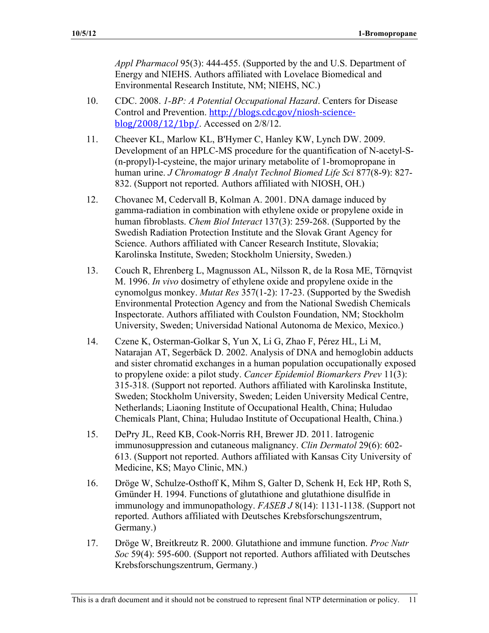*Appl Pharmacol* 95(3): 444-455. (Supported by the and U.S. Department of Energy and NIEHS. Authors affiliated with Lovelace Biomedical and Environmental Research Institute, NM; NIEHS, NC.)

- 10. CDC. 2008. *1-BP: A Potential Occupational Hazard*. Centers for Disease Control and Prevention. http://blogs.cdc.gov/niosh-science $b\log/2008/12/1bp/$ . Accessed on 2/8/12.
- 11. Cheever KL, Marlow KL, B'Hymer C, Hanley KW, Lynch DW. 2009. Development of an HPLC-MS procedure for the quantification of N-acetyl-S (n-propyl)-l-cysteine, the major urinary metabolite of 1-bromopropane in human urine. *J Chromatogr B Analyt Technol Biomed Life Sci* 877(8-9): 827 832. (Support not reported. Authors affiliated with NIOSH, OH.)
- 12. Chovanec M, Cedervall B, Kolman A. 2001. DNA damage induced by gamma-radiation in combination with ethylene oxide or propylene oxide in human fibroblasts. *Chem Biol Interact* 137(3): 259-268. (Supported by the Swedish Radiation Protection Institute and the Slovak Grant Agency for Science. Authors affiliated with Cancer Research Institute, Slovakia; Karolinska Institute, Sweden; Stockholm Uniersity, Sweden.)
- 13. Couch R, Ehrenberg L, Magnusson AL, Nilsson R, de la Rosa ME, Törnqvist M. 1996. *In vivo* dosimetry of ethylene oxide and propylene oxide in the cynomolgus monkey. *Mutat Res* 357(1-2): 17-23. (Supported by the Swedish Environmental Protection Agency and from the National Swedish Chemicals Inspectorate. Authors affiliated with Coulston Foundation, NM; Stockholm University, Sweden; Universidad National Autonoma de Mexico, Mexico.)
- 14. Czene K, Osterman-Golkar S, Yun X, Li G, Zhao F, Pérez HL, Li M, Natarajan AT, Segerbäck D. 2002. Analysis of DNA and hemoglobin adducts and sister chromatid exchanges in a human population occupationally exposed to propylene oxide: a pilot study. *Cancer Epidemiol Biomarkers Prev* 11(3): 315-318. (Support not reported. Authors affiliated with Karolinska Institute, Sweden; Stockholm University, Sweden; Leiden University Medical Centre, Netherlands; Liaoning Institute of Occupational Health, China; Huludao Chemicals Plant, China; Huludao Institute of Occupational Health, China.)
- 15. DePry JL, Reed KB, Cook-Norris RH, Brewer JD. 2011. Iatrogenic immunosuppression and cutaneous malignancy. *Clin Dermatol* 29(6): 602 613. (Support not reported. Authors affiliated with Kansas City University of Medicine, KS; Mayo Clinic, MN.)
- 16. Dröge W, Schulze-Osthoff K, Mihm S, Galter D, Schenk H, Eck HP, Roth S, Gmünder H. 1994. Functions of glutathione and glutathione disulfide in immunology and immunopathology. *FASEB J* 8(14): 1131-1138. (Support not reported. Authors affiliated with Deutsches Krebsforschungszentrum, Germany.)
- 17. Dröge W, Breitkreutz R. 2000. Glutathione and immune function. *Proc Nutr Soc* 59(4): 595-600. (Support not reported. Authors affiliated with Deutsches Krebsforschungszentrum, Germany.)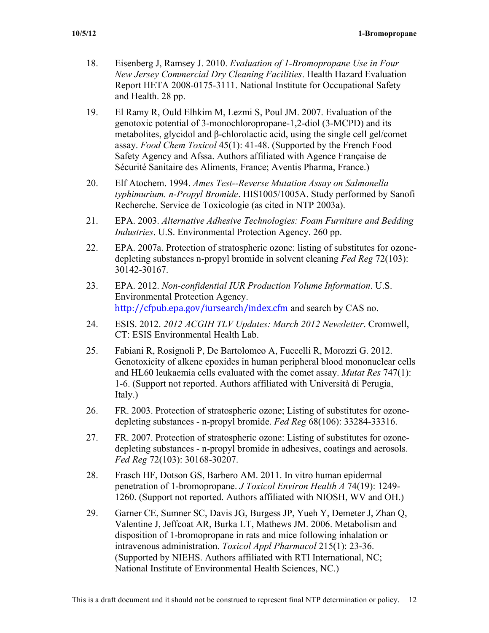- 18. Eisenberg J, Ramsey J. 2010. *Evaluation of 1-Bromopropane Use in Four New Jersey Commercial Dry Cleaning Facilities*. Health Hazard Evaluation Report HETA 2008-0175-3111. National Institute for Occupational Safety and Health. 28 pp.
- 19. El Ramy R, Ould Elhkim M, Lezmi S, Poul JM. 2007. Evaluation of the genotoxic potential of 3-monochloropropane-1,2-diol (3-MCPD) and its metabolites, glycidol and  $\beta$ -chlorolactic acid, using the single cell gel/comet assay. *Food Chem Toxicol* 45(1): 41-48. (Supported by the French Food Safety Agency and Afssa. Authors affiliated with Agence Française de Sécurité Sanitaire des Aliments, France; Aventis Pharma, France.)
- 20. Elf Atochem. 1994. *Ames Test--Reverse Mutation Assay on Salmonella typhimurium. n-Propyl Bromide*. HIS1005/1005A. Study performed by Sanofi Recherche. Service de Toxicologie (as cited in NTP 2003a).
- 21. EPA. 2003. *Alternative Adhesive Technologies: Foam Furniture and Bedding Industries*. U.S. Environmental Protection Agency. 260 pp.
- 22. EPA. 2007a. Protection of stratospheric ozone: listing of substitutes for ozonedepleting substances n-propyl bromide in solvent cleaning *Fed Reg* 72(103): 30142-30167.
- 23. EPA. 2012. *Non-confidential IUR Production Volume Information*. U.S. Environmental Protection Agency. http://cfpub.epa.gov/iursearch/index.cfm and search by CAS no.
- 24. ESIS. 2012. *2012 ACGIH TLV Updates: March 2012 Newsletter*. Cromwell, CT: ESIS Environmental Health Lab.
- 25. Fabiani R, Rosignoli P, De Bartolomeo A, Fuccelli R, Morozzi G. 2012. Genotoxicity of alkene epoxides in human peripheral blood mononuclear cells and HL60 leukaemia cells evaluated with the comet assay. *Mutat Res* 747(1): 1-6. (Support not reported. Authors affiliated with Università di Perugia, Italy.)
- 26. FR. 2003. Protection of stratospheric ozone; Listing of substitutes for ozonedepleting substances - n-propyl bromide. *Fed Reg* 68(106): 33284-33316.
- 27. FR. 2007. Protection of stratospheric ozone: Listing of substitutes for ozonedepleting substances - n-propyl bromide in adhesives, coatings and aerosols. *Fed Reg* 72(103): 30168-30207.
- 28. Frasch HF, Dotson GS, Barbero AM. 2011. In vitro human epidermal penetration of 1-bromopropane. *J Toxicol Environ Health A* 74(19): 1249 1260. (Support not reported. Authors affiliated with NIOSH, WV and OH.)
- 29. Garner CE, Sumner SC, Davis JG, Burgess JP, Yueh Y, Demeter J, Zhan Q, Valentine J, Jeffcoat AR, Burka LT, Mathews JM. 2006. Metabolism and disposition of 1-bromopropane in rats and mice following inhalation or intravenous administration. *Toxicol Appl Pharmacol* 215(1): 23-36. (Supported by NIEHS. Authors affiliated with RTI International, NC; National Institute of Environmental Health Sciences, NC.)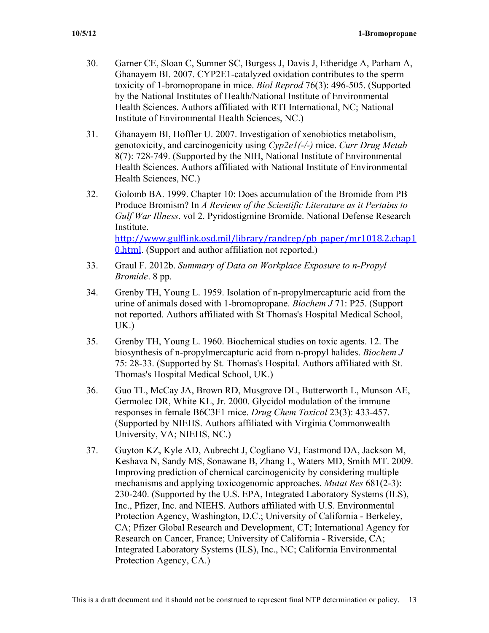- 30. Garner CE, Sloan C, Sumner SC, Burgess J, Davis J, Etheridge A, Parham A, Ghanayem BI. 2007. CYP2E1-catalyzed oxidation contributes to the sperm toxicity of 1-bromopropane in mice. *Biol Reprod* 76(3): 496-505. (Supported by the National Institutes of Health/National Institute of Environmental Health Sciences. Authors affiliated with RTI International, NC; National Institute of Environmental Health Sciences, NC.)
- 31. Ghanayem BI, Hoffler U. 2007. Investigation of xenobiotics metabolism, genotoxicity, and carcinogenicity using *Cyp2e1(-/-)* mice. *Curr Drug Metab*  8(7): 728-749. (Supported by the NIH, National Institute of Environmental Health Sciences. Authors affiliated with National Institute of Environmental Health Sciences, NC.)
- 32. Golomb BA. 1999. Chapter 10: Does accumulation of the Bromide from PB Produce Bromism? In *A Reviews of the Scientific Literature as it Pertains to Gulf War Illness*. vol 2. Pyridostigmine Bromide. National Defense Research Institute. http://www.gulflink.osd.mil/library/randrep/pb paper/mr1018.2.chap1 **0.html.** (Support and author affiliation not reported.)
- 33. Graul F. 2012b. *Summary of Data on Workplace Exposure to n-Propyl Bromide*. 8 pp.
- 34. Grenby TH, Young L. 1959. Isolation of n-propylmercapturic acid from the urine of animals dosed with 1-bromopropane. *Biochem J* 71: P25. (Support not reported. Authors affiliated with St Thomas's Hospital Medical School, UK.)
- 35. Grenby TH, Young L. 1960. Biochemical studies on toxic agents. 12. The biosynthesis of n-propylmercapturic acid from n-propyl halides. *Biochem J*  75: 28-33. (Supported by St. Thomas's Hospital. Authors affiliated with St. Thomas's Hospital Medical School, UK.)
- 36. Guo TL, McCay JA, Brown RD, Musgrove DL, Butterworth L, Munson AE, Germolec DR, White KL, Jr. 2000. Glycidol modulation of the immune responses in female B6C3F1 mice. *Drug Chem Toxicol* 23(3): 433-457. (Supported by NIEHS. Authors affiliated with Virginia Commonwealth University, VA; NIEHS, NC.)
- 37. Guyton KZ, Kyle AD, Aubrecht J, Cogliano VJ, Eastmond DA, Jackson M, Keshava N, Sandy MS, Sonawane B, Zhang L, Waters MD, Smith MT. 2009. Improving prediction of chemical carcinogenicity by considering multiple mechanisms and applying toxicogenomic approaches. *Mutat Res* 681(2-3): 230-240. (Supported by the U.S. EPA, Integrated Laboratory Systems (ILS), Inc., Pfizer, Inc. and NIEHS. Authors affiliated with U.S. Environmental Protection Agency, Washington, D.C.; University of California - Berkeley, CA; Pfizer Global Research and Development, CT; International Agency for Research on Cancer, France; University of California - Riverside, CA; Integrated Laboratory Systems (ILS), Inc., NC; California Environmental Protection Agency, CA.)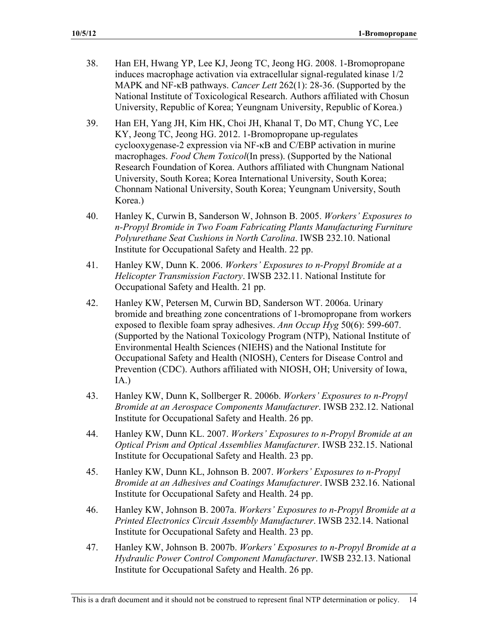- 38. Han EH, Hwang YP, Lee KJ, Jeong TC, Jeong HG. 2008. 1-Bromopropane induces macrophage activation via extracellular signal-regulated kinase 1/2 MAPK and NF- $\kappa$ B pathways. *Cancer Lett* 262(1): 28-36. (Supported by the National Institute of Toxicological Research. Authors affiliated with Chosun University, Republic of Korea; Yeungnam University, Republic of Korea.)
- 39. Han EH, Yang JH, Kim HK, Choi JH, Khanal T, Do MT, Chung YC, Lee KY, Jeong TC, Jeong HG. 2012. 1-Bromopropane up-regulates cyclooxygenase-2 expression via NF- $\kappa$ B and C/EBP activation in murine macrophages. *Food Chem Toxicol*(In press). (Supported by the National Research Foundation of Korea. Authors affiliated with Chungnam National University, South Korea; Korea International University, South Korea; Chonnam National University, South Korea; Yeungnam University, South Korea.)
- 40. Hanley K, Curwin B, Sanderson W, Johnson B. 2005. *Workers' Exposures to n-Propyl Bromide in Two Foam Fabricating Plants Manufacturing Furniture Polyurethane Seat Cushions in North Carolina*. IWSB 232.10. National Institute for Occupational Safety and Health. 22 pp.
- 41. Hanley KW, Dunn K. 2006. *Workers' Exposures to n-Propyl Bromide at a Helicopter Transmission Factory*. IWSB 232.11. National Institute for Occupational Safety and Health. 21 pp.
- 42. Hanley KW, Petersen M, Curwin BD, Sanderson WT. 2006a. Urinary bromide and breathing zone concentrations of 1-bromopropane from workers exposed to flexible foam spray adhesives. *Ann Occup Hyg* 50(6): 599-607. (Supported by the National Toxicology Program (NTP), National Institute of Environmental Health Sciences (NIEHS) and the National Institute for Occupational Safety and Health (NIOSH), Centers for Disease Control and Prevention (CDC). Authors affiliated with NIOSH, OH; University of Iowa, IA.)
- 43. Hanley KW, Dunn K, Sollberger R. 2006b. *Workers' Exposures to n-Propyl Bromide at an Aerospace Components Manufacturer*. IWSB 232.12. National Institute for Occupational Safety and Health. 26 pp.
- 44. Hanley KW, Dunn KL. 2007. *Workers' Exposures to n-Propyl Bromide at an Optical Prism and Optical Assemblies Manufacturer*. IWSB 232.15. National Institute for Occupational Safety and Health. 23 pp.
- 45. Hanley KW, Dunn KL, Johnson B. 2007. *Workers' Exposures to n-Propyl Bromide at an Adhesives and Coatings Manufacturer*. IWSB 232.16. National Institute for Occupational Safety and Health. 24 pp.
- 46. Hanley KW, Johnson B. 2007a. *Workers' Exposures to n-Propyl Bromide at a Printed Electronics Circuit Assembly Manufacturer*. IWSB 232.14. National Institute for Occupational Safety and Health. 23 pp.
- 47. Hanley KW, Johnson B. 2007b. *Workers' Exposures to n-Propyl Bromide at a Hydraulic Power Control Component Manufacturer*. IWSB 232.13. National Institute for Occupational Safety and Health. 26 pp.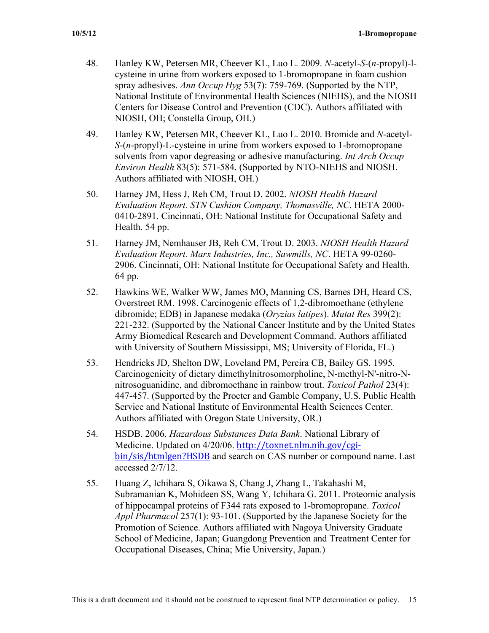- 48. Hanley KW, Petersen MR, Cheever KL, Luo L. 2009. *N*-acetyl-*S*-(*n*-propyl)-lcysteine in urine from workers exposed to 1-bromopropane in foam cushion spray adhesives. *Ann Occup Hyg* 53(7): 759-769. (Supported by the NTP, National Institute of Environmental Health Sciences (NIEHS), and the NIOSH Centers for Disease Control and Prevention (CDC). Authors affiliated with NIOSH, OH; Constella Group, OH.)
- 49. Hanley KW, Petersen MR, Cheever KL, Luo L. 2010. Bromide and *N*-acetyl-*S*-(*n*-propyl)-L-cysteine in urine from workers exposed to 1-bromopropane solvents from vapor degreasing or adhesive manufacturing. *Int Arch Occup Environ Health* 83(5): 571-584. (Supported by NTO-NIEHS and NIOSH. Authors affiliated with NIOSH, OH.)
- 50. Harney JM, Hess J, Reh CM, Trout D. 2002. *NIOSH Health Hazard Evaluation Report. STN Cushion Company, Thomasville, NC*. HETA 2000 0410-2891. Cincinnati, OH: National Institute for Occupational Safety and Health. 54 pp.
- 51. Harney JM, Nemhauser JB, Reh CM, Trout D. 2003. *NIOSH Health Hazard Evaluation Report. Marx Industries, Inc., Sawmills, NC*. HETA 99-0260 2906. Cincinnati, OH: National Institute for Occupational Safety and Health. 64 pp.
- 52. Hawkins WE, Walker WW, James MO, Manning CS, Barnes DH, Heard CS, Overstreet RM. 1998. Carcinogenic effects of 1,2-dibromoethane (ethylene dibromide; EDB) in Japanese medaka (*Oryzias latipes*). *Mutat Res* 399(2): 221-232. (Supported by the National Cancer Institute and by the United States Army Biomedical Research and Development Command. Authors affiliated with University of Southern Mississippi, MS; University of Florida, FL.)
- 53. Hendricks JD, Shelton DW, Loveland PM, Pereira CB, Bailey GS. 1995. Carcinogenicity of dietary dimethylnitrosomorpholine, N-methyl-N'-nitro-Nnitrosoguanidine, and dibromoethane in rainbow trout. *Toxicol Pathol* 23(4): 447-457. (Supported by the Procter and Gamble Company, U.S. Public Health Service and National Institute of Environmental Health Sciences Center. Authors affiliated with Oregon State University, OR.)
- 54. HSDB. 2006. *Hazardous Substances Data Bank*. National Library of Medicine. Updated on 4/20/06. http://toxnet.nlm.nih.gov/cgibin/sis/htmlgen?HSDB and search on CAS number or compound name. Last accessed 2/7/12.
- 55. Huang Z, Ichihara S, Oikawa S, Chang J, Zhang L, Takahashi M, Subramanian K, Mohideen SS, Wang Y, Ichihara G. 2011. Proteomic analysis of hippocampal proteins of F344 rats exposed to 1-bromopropane. *Toxicol Appl Pharmacol* 257(1): 93-101. (Supported by the Japanese Society for the Promotion of Science. Authors affiliated with Nagoya University Graduate School of Medicine, Japan; Guangdong Prevention and Treatment Center for Occupational Diseases, China; Mie University, Japan.)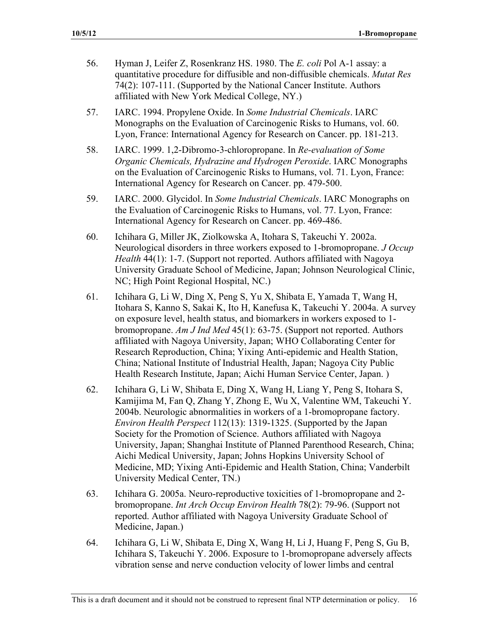- 56. Hyman J, Leifer Z, Rosenkranz HS. 1980. The *E. coli* Pol A-1 assay: a quantitative procedure for diffusible and non-diffusible chemicals. *Mutat Res*  74(2): 107-111. (Supported by the National Cancer Institute. Authors affiliated with New York Medical College, NY.)
- 57. IARC. 1994. Propylene Oxide. In *Some Industrial Chemicals*. IARC Monographs on the Evaluation of Carcinogenic Risks to Humans, vol. 60. Lyon, France: International Agency for Research on Cancer. pp. 181-213.
- 58. IARC. 1999. 1,2-Dibromo-3-chloropropane. In *Re-evaluation of Some Organic Chemicals, Hydrazine and Hydrogen Peroxide*. IARC Monographs on the Evaluation of Carcinogenic Risks to Humans, vol. 71. Lyon, France: International Agency for Research on Cancer. pp. 479-500.
- 59. IARC. 2000. Glycidol. In *Some Industrial Chemicals*. IARC Monographs on the Evaluation of Carcinogenic Risks to Humans, vol. 77. Lyon, France: International Agency for Research on Cancer. pp. 469-486.
- 60. Ichihara G, Miller JK, Ziolkowska A, Itohara S, Takeuchi Y. 2002a. Neurological disorders in three workers exposed to 1-bromopropane. *J Occup Health* 44(1): 1-7. (Support not reported. Authors affiliated with Nagoya University Graduate School of Medicine, Japan; Johnson Neurological Clinic, NC; High Point Regional Hospital, NC.)
- 61. Ichihara G, Li W, Ding X, Peng S, Yu X, Shibata E, Yamada T, Wang H, Itohara S, Kanno S, Sakai K, Ito H, Kanefusa K, Takeuchi Y. 2004a. A survey on exposure level, health status, and biomarkers in workers exposed to 1 bromopropane. *Am J Ind Med* 45(1): 63-75. (Support not reported. Authors affiliated with Nagoya University, Japan; WHO Collaborating Center for Research Reproduction, China; Yixing Anti-epidemic and Health Station, China; National Institute of Industrial Health, Japan; Nagoya City Public Health Research Institute, Japan; Aichi Human Service Center, Japan. )
- 62. Ichihara G, Li W, Shibata E, Ding X, Wang H, Liang Y, Peng S, Itohara S, Kamijima M, Fan Q, Zhang Y, Zhong E, Wu X, Valentine WM, Takeuchi Y. 2004b. Neurologic abnormalities in workers of a 1-bromopropane factory. *Environ Health Perspect* 112(13): 1319-1325. (Supported by the Japan Society for the Promotion of Science. Authors affiliated with Nagoya University, Japan; Shanghai Institute of Planned Parenthood Research, China; Aichi Medical University, Japan; Johns Hopkins University School of Medicine, MD; Yixing Anti-Epidemic and Health Station, China; Vanderbilt University Medical Center, TN.)
- 63. Ichihara G. 2005a. Neuro-reproductive toxicities of 1-bromopropane and 2 bromopropane. *Int Arch Occup Environ Health* 78(2): 79-96. (Support not reported. Author affiliated with Nagoya University Graduate School of Medicine, Japan.)
- 64. Ichihara G, Li W, Shibata E, Ding X, Wang H, Li J, Huang F, Peng S, Gu B, Ichihara S, Takeuchi Y. 2006. Exposure to 1-bromopropane adversely affects vibration sense and nerve conduction velocity of lower limbs and central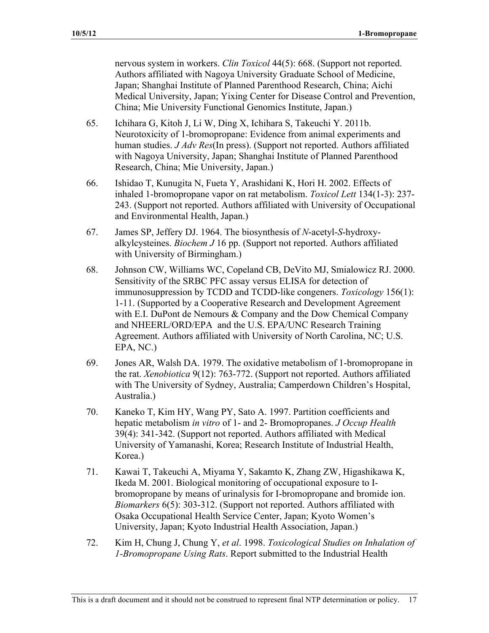nervous system in workers. *Clin Toxicol* 44(5): 668. (Support not reported. Authors affiliated with Nagoya University Graduate School of Medicine, Japan; Shanghai Institute of Planned Parenthood Research, China; Aichi Medical University, Japan; Yixing Center for Disease Control and Prevention, China; Mie University Functional Genomics Institute, Japan.)

- 65. Ichihara G, Kitoh J, Li W, Ding X, Ichihara S, Takeuchi Y. 2011b. Neurotoxicity of 1-bromopropane: Evidence from animal experiments and human studies. *J Adv Res*(In press). (Support not reported. Authors affiliated with Nagoya University, Japan; Shanghai Institute of Planned Parenthood Research, China; Mie University, Japan.)
- 66. Ishidao T, Kunugita N, Fueta Y, Arashidani K, Hori H. 2002. Effects of inhaled 1-bromopropane vapor on rat metabolism. *Toxicol Lett* 134(1-3): 237 243. (Support not reported. Authors affiliated with University of Occupational and Environmental Health, Japan.)
- 67. James SP, Jeffery DJ. 1964. The biosynthesis of *N*-acetyl-*S*-hydroxyalkylcysteines. *Biochem J* 16 pp. (Support not reported. Authors affiliated with University of Birmingham.)
- 68. Johnson CW, Williams WC, Copeland CB, DeVito MJ, Smialowicz RJ. 2000. Sensitivity of the SRBC PFC assay versus ELISA for detection of immunosuppression by TCDD and TCDD-like congeners. *Toxicology* 156(1): 1-11. (Supported by a Cooperative Research and Development Agreement with E.I. DuPont de Nemours & Company and the Dow Chemical Company and NHEERL/ORD/EPA and the U.S. EPA/UNC Research Training Agreement. Authors affiliated with University of North Carolina, NC; U.S. EPA, NC.)
- 69. Jones AR, Walsh DA. 1979. The oxidative metabolism of 1-bromopropane in the rat. *Xenobiotica* 9(12): 763-772. (Support not reported. Authors affiliated with The University of Sydney, Australia; Camperdown Children's Hospital, Australia.)
- 70. Kaneko T, Kim HY, Wang PY, Sato A. 1997. Partition coefficients and hepatic metabolism *in vitro* of 1- and 2- Bromopropanes. *J Occup Health*  39(4): 341-342. (Support not reported. Authors affiliated with Medical University of Yamanashi, Korea; Research Institute of Industrial Health, Korea.)
- 71. Kawai T, Takeuchi A, Miyama Y, Sakamto K, Zhang ZW, Higashikawa K, Ikeda M. 2001. Biological monitoring of occupational exposure to Ibromopropane by means of urinalysis for I-bromopropane and bromide ion. *Biomarkers* 6(5): 303-312. (Support not reported. Authors affiliated with Osaka Occupational Health Service Center, Japan; Kyoto Women's University, Japan; Kyoto Industrial Health Association, Japan.)
- 72. Kim H, Chung J, Chung Y, *et al*. 1998. *Toxicological Studies on Inhalation of 1-Bromopropane Using Rats*. Report submitted to the Industrial Health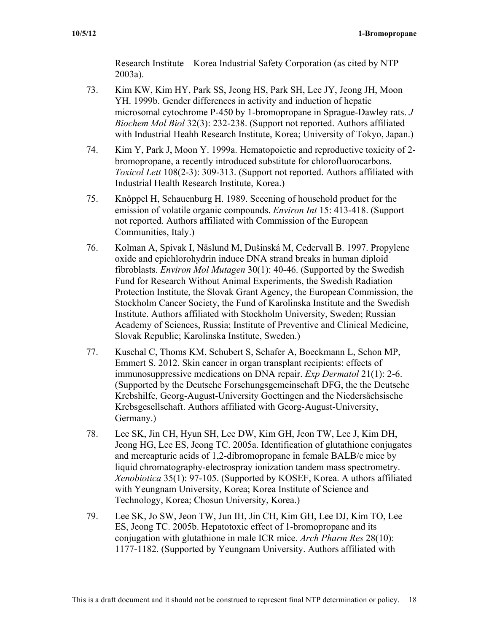Research Institute – Korea Industrial Safety Corporation (as cited by NTP 2003a).

- 73. Kim KW, Kim HY, Park SS, Jeong HS, Park SH, Lee JY, Jeong JH, Moon YH. 1999b. Gender differences in activity and induction of hepatic microsomal cytochrome P-450 by 1-bromopropane in Sprague-Dawley rats. *J Biochem Mol Biol* 32(3): 232-238. (Support not reported. Authors affiliated with Industrial Heahh Research Institute, Korea; University of Tokyo, Japan.)
- 74. Kim Y, Park J, Moon Y. 1999a. Hematopoietic and reproductive toxicity of 2 bromopropane, a recently introduced substitute for chlorofluorocarbons. *Toxicol Lett* 108(2-3): 309-313. (Support not reported. Authors affiliated with Industrial Health Research Institute, Korea.)
- 75. Knöppel H, Schauenburg H. 1989. Sceening of household product for the emission of volatile organic compounds. *Environ Int* 15: 413-418. (Support not reported. Authors affiliated with Commission of the European Communities, Italy.)
- 76. Kolman A, Spivak I, Näslund M, Dušinská M, Cedervall B. 1997. Propylene oxide and epichlorohydrin induce DNA strand breaks in human diploid fibroblasts. *Environ Mol Mutagen* 30(1): 40-46. (Supported by the Swedish Fund for Research Without Animal Experiments, the Swedish Radiation Protection Institute, the Slovak Grant Agency, the European Commission, the Stockholm Cancer Society, the Fund of Karolinska Institute and the Swedish Institute. Authors affiliated with Stockholm University, Sweden; Russian Academy of Sciences, Russia; Institute of Preventive and Clinical Medicine, Slovak Republic; Karolinska Institute, Sweden.)
- 77. Kuschal C, Thoms KM, Schubert S, Schafer A, Boeckmann L, Schon MP, Emmert S. 2012. Skin cancer in organ transplant recipients: effects of immunosuppressive medications on DNA repair. *Exp Dermatol* 21(1): 2-6. (Supported by the Deutsche Forschungsgemeinschaft DFG, the the Deutsche Krebshilfe, Georg-August-University Goettingen and the Niedersächsische Krebsgesellschaft. Authors affiliated with Georg-August-University, Germany.)
- 78. Lee SK, Jin CH, Hyun SH, Lee DW, Kim GH, Jeon TW, Lee J, Kim DH, Jeong HG, Lee ES, Jeong TC. 2005a. Identification of glutathione conjugates and mercapturic acids of 1,2-dibromopropane in female BALB/c mice by liquid chromatography-electrospray ionization tandem mass spectrometry. *Xenobiotica* 35(1): 97-105. (Supported by KOSEF, Korea. A uthors affiliated with Yeungnam University, Korea; Korea Institute of Science and Technology, Korea; Chosun University, Korea.)
- 79. Lee SK, Jo SW, Jeon TW, Jun IH, Jin CH, Kim GH, Lee DJ, Kim TO, Lee ES, Jeong TC. 2005b. Hepatotoxic effect of 1-bromopropane and its conjugation with glutathione in male ICR mice. *Arch Pharm Res* 28(10): 1177-1182. (Supported by Yeungnam University. Authors affiliated with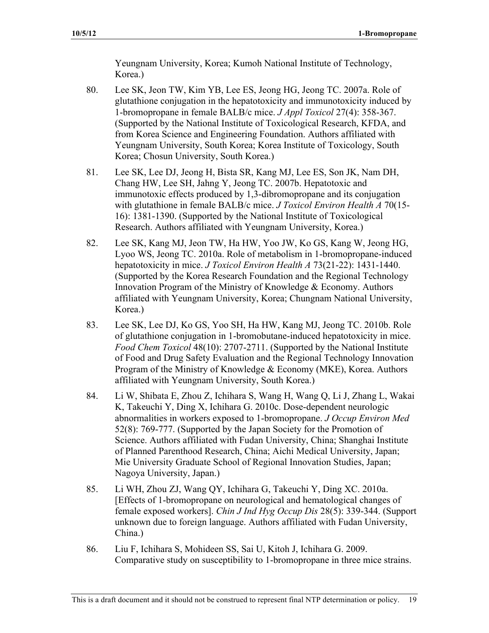Yeungnam University, Korea; Kumoh National Institute of Technology, Korea.)

- 80. Lee SK, Jeon TW, Kim YB, Lee ES, Jeong HG, Jeong TC. 2007a. Role of glutathione conjugation in the hepatotoxicity and immunotoxicity induced by 1-bromopropane in female BALB/c mice. *J Appl Toxicol* 27(4): 358-367. (Supported by the National Institute of Toxicological Research, KFDA, and from Korea Science and Engineering Foundation. Authors affiliated with Yeungnam University, South Korea; Korea Institute of Toxicology, South Korea; Chosun University, South Korea.)
- 81. Lee SK, Lee DJ, Jeong H, Bista SR, Kang MJ, Lee ES, Son JK, Nam DH, Chang HW, Lee SH, Jahng Y, Jeong TC. 2007b. Hepatotoxic and immunotoxic effects produced by 1,3-dibromopropane and its conjugation with glutathione in female BALB/c mice. *J Toxicol Environ Health A* 70(15 16): 1381-1390. (Supported by the National Institute of Toxicological Research. Authors affiliated with Yeungnam University, Korea.)
- 82. Lee SK, Kang MJ, Jeon TW, Ha HW, Yoo JW, Ko GS, Kang W, Jeong HG, Lyoo WS, Jeong TC. 2010a. Role of metabolism in 1-bromopropane-induced hepatotoxicity in mice. *J Toxicol Environ Health A* 73(21-22): 1431-1440. (Supported by the Korea Research Foundation and the Regional Technology Innovation Program of the Ministry of Knowledge & Economy. Authors affiliated with Yeungnam University, Korea; Chungnam National University, Korea.)
- 83. Lee SK, Lee DJ, Ko GS, Yoo SH, Ha HW, Kang MJ, Jeong TC. 2010b. Role of glutathione conjugation in 1-bromobutane-induced hepatotoxicity in mice. *Food Chem Toxicol* 48(10): 2707-2711. (Supported by the National Institute of Food and Drug Safety Evaluation and the Regional Technology Innovation Program of the Ministry of Knowledge & Economy (MKE), Korea. Authors affiliated with Yeungnam University, South Korea.)
- 84. Li W, Shibata E, Zhou Z, Ichihara S, Wang H, Wang Q, Li J, Zhang L, Wakai K, Takeuchi Y, Ding X, Ichihara G. 2010c. Dose-dependent neurologic abnormalities in workers exposed to 1-bromopropane. *J Occup Environ Med*  52(8): 769-777. (Supported by the Japan Society for the Promotion of Science. Authors affiliated with Fudan University, China; Shanghai Institute of Planned Parenthood Research, China; Aichi Medical University, Japan; Mie University Graduate School of Regional Innovation Studies, Japan; Nagoya University, Japan.)
- 85. Li WH, Zhou ZJ, Wang QY, Ichihara G, Takeuchi Y, Ding XC. 2010a. [Effects of 1-bromopropane on neurological and hematological changes of female exposed workers]. *Chin J Ind Hyg Occup Dis* 28(5): 339-344. (Support unknown due to foreign language. Authors affiliated with Fudan University, China.)
- 86. Liu F, Ichihara S, Mohideen SS, Sai U, Kitoh J, Ichihara G. 2009. Comparative study on susceptibility to 1-bromopropane in three mice strains.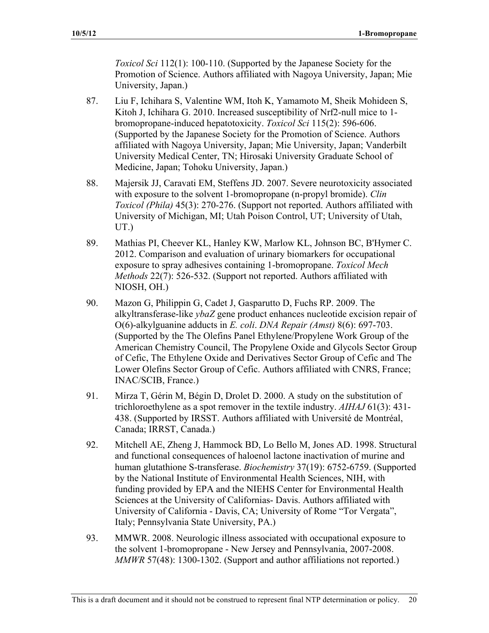*Toxicol Sci* 112(1): 100-110. (Supported by the Japanese Society for the Promotion of Science. Authors affiliated with Nagoya University, Japan; Mie University, Japan.)

- 87. Liu F, Ichihara S, Valentine WM, Itoh K, Yamamoto M, Sheik Mohideen S, Kitoh J, Ichihara G. 2010. Increased susceptibility of Nrf2-null mice to 1bromopropane-induced hepatotoxicity. *Toxicol Sci* 115(2): 596-606. (Supported by the Japanese Society for the Promotion of Science. Authors affiliated with Nagoya University, Japan; Mie University, Japan; Vanderbilt University Medical Center, TN; Hirosaki University Graduate School of Medicine, Japan; Tohoku University, Japan.)
- 88. Majersik JJ, Caravati EM, Steffens JD. 2007. Severe neurotoxicity associated with exposure to the solvent 1-bromopropane (n-propyl bromide). *Clin Toxicol (Phila)* 45(3): 270-276. (Support not reported. Authors affiliated with University of Michigan, MI; Utah Poison Control, UT; University of Utah, UT.)
- 89. Mathias PI, Cheever KL, Hanley KW, Marlow KL, Johnson BC, B'Hymer C. 2012. Comparison and evaluation of urinary biomarkers for occupational exposure to spray adhesives containing 1-bromopropane. *Toxicol Mech Methods* 22(7): 526-532. (Support not reported. Authors affiliated with NIOSH, OH.)
- 90. Mazon G, Philippin G, Cadet J, Gasparutto D, Fuchs RP. 2009. The alkyltransferase-like *ybaZ* gene product enhances nucleotide excision repair of O(6)-alkylguanine adducts in *E. coli*. *DNA Repair (Amst)* 8(6): 697-703. (Supported by the The Olefins Panel Ethylene/Propylene Work Group of the American Chemistry Council, The Propylene Oxide and Glycols Sector Group of Cefic, The Ethylene Oxide and Derivatives Sector Group of Cefic and The Lower Olefins Sector Group of Cefic. Authors affiliated with CNRS, France; INAC/SCIB, France.)
- 91. Mirza T, Gérin M, Bégin D, Drolet D. 2000. A study on the substitution of trichloroethylene as a spot remover in the textile industry. *AIHAJ* 61(3): 431 438. (Supported by IRSST. Authors affiliated with Université de Montréal, Canada; IRRST, Canada.)
- 92. Mitchell AE, Zheng J, Hammock BD, Lo Bello M, Jones AD. 1998. Structural and functional consequences of haloenol lactone inactivation of murine and human glutathione S-transferase. *Biochemistry* 37(19): 6752-6759. (Supported by the National Institute of Environmental Health Sciences, NIH, with funding provided by EPA and the NIEHS Center for Environmental Health Sciences at the University of Californias- Davis. Authors affiliated with University of California - Davis, CA; University of Rome "Tor Vergata", Italy; Pennsylvania State University, PA.)
- 93. MMWR. 2008. Neurologic illness associated with occupational exposure to the solvent 1-bromopropane - New Jersey and Pennsylvania, 2007-2008. *MMWR* 57(48): 1300-1302. (Support and author affiliations not reported.)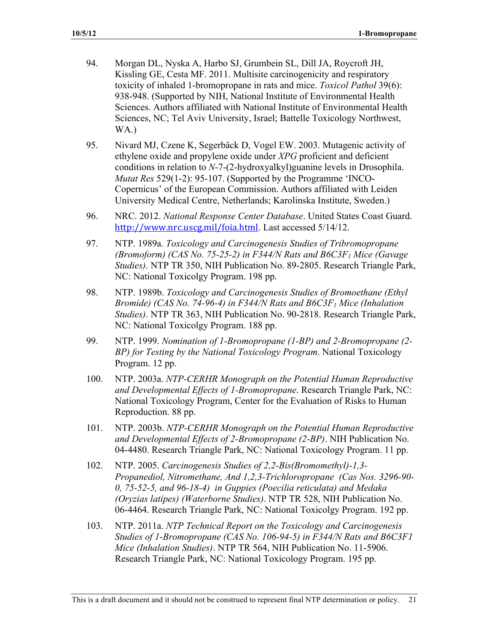- 94. Morgan DL, Nyska A, Harbo SJ, Grumbein SL, Dill JA, Roycroft JH, Kissling GE, Cesta MF. 2011. Multisite carcinogenicity and respiratory toxicity of inhaled 1-bromopropane in rats and mice. *Toxicol Pathol* 39(6): 938-948. (Supported by NIH, National Institute of Environmental Health Sciences. Authors affiliated with National Institute of Environmental Health Sciences, NC; Tel Aviv University, Israel; Battelle Toxicology Northwest, WA.)
- 95. Nivard MJ, Czene K, Segerbäck D, Vogel EW. 2003. Mutagenic activity of ethylene oxide and propylene oxide under *XPG* proficient and deficient conditions in relation to *N*-7-(2-hydroxyalkyl)guanine levels in Drosophila. *Mutat Res* 529(1-2): 95-107. (Supported by the Programme 'INCO-Copernicus' of the European Commission. Authors affiliated with Leiden University Medical Centre, Netherlands; Karolinska Institute, Sweden.)
- 96. NRC. 2012. *National Response Center Database*. United States Coast Guard. http://www.nrc.uscg.mil/foia.html. Last accessed 5/14/12.
- 97. NTP. 1989a. *Toxicology and Carcinogenesis Studies of Tribromopropane (Bromoform) (CAS No. 75-25-2) in F344/N Rats and B6C3F1 Mice (Gavage Studies)*. NTP TR 350, NIH Publication No. 89-2805. Research Triangle Park, NC: National Toxicolgy Program. 198 pp.
- 98. NTP. 1989b. *Toxicology and Carcinogenesis Studies of Bromoethane (Ethyl Bromide) (CAS No. 74-96-4) in F344/N Rats and B6C3F<sub>1</sub> Mice (Inhalation Studies)*. NTP TR 363, NIH Publication No. 90-2818. Research Triangle Park, NC: National Toxicolgy Program. 188 pp.
- 99. NTP. 1999. *Nomination of 1-Bromopropane (1-BP) and 2-Bromopropane (2- BP) for Testing by the National Toxicology Program*. National Toxicology Program. 12 pp.
- 100. NTP. 2003a. *NTP-CERHR Monograph on the Potential Human Reproductive and Developmental Effects of 1-Bromopropane*. Research Triangle Park, NC: National Toxicology Program, Center for the Evaluation of Risks to Human Reproduction. 88 pp.
- 101. NTP. 2003b. *NTP-CERHR Monograph on the Potential Human Reproductive and Developmental Effects of 2-Bromopropane (2-BP)*. NIH Publication No. 04-4480. Research Triangle Park, NC: National Toxicology Program. 11 pp.
- 102. NTP. 2005. *Carcinogenesis Studies of 2,2-Bis(Bromomethyl)-1,3- Propanediol, Nitromethane, And 1,2,3-Trichloropropane (Cas Nos. 3296-90- 0, 75-52-5, and 96-18-4) in Guppies (Poecilia reticulata) and Medaka (Oryzias latipes) (Waterborne Studies)*. NTP TR 528, NIH Publication No. 06-4464. Research Triangle Park, NC: National Toxicolgy Program. 192 pp.
- 103. NTP. 2011a. *NTP Technical Report on the Toxicology and Carcinogenesis Studies of 1-Bromopropane (CAS No. 106-94-5) in F344/N Rats and B6C3F1 Mice (Inhalation Studies)*. NTP TR 564, NIH Publication No. 11-5906. Research Triangle Park, NC: National Toxicology Program. 195 pp.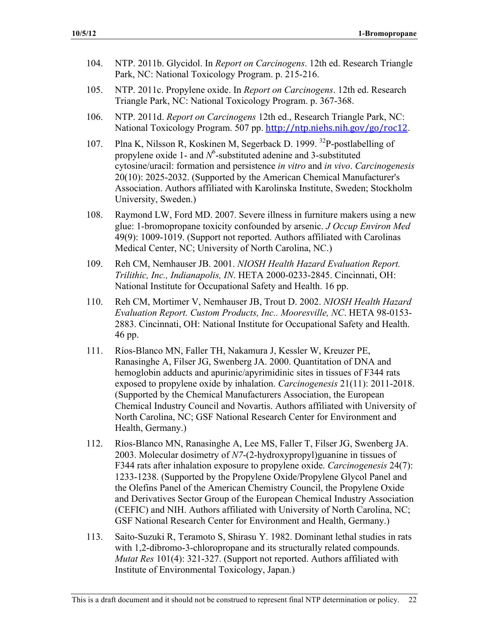- 104. NTP. 2011b. Glycidol. In *Report on Carcinogens*. 12th ed. Research Triangle Park, NC: National Toxicology Program. p. 215-216.
- 105. NTP. 2011c. Propylene oxide. In *Report on Carcinogens*. 12th ed. Research Triangle Park, NC: National Toxicology Program. p. 367-368.
- 106. NTP. 2011d. *Report on Carcinogens* 12th ed., Research Triangle Park, NC: National Toxicology Program. 507 pp. http://ntp.niehs.nih.gov/go/roc12.
- 107. Plna K, Nilsson R, Koskinen M, Segerback D. 1999. <sup>32</sup>P-postlabelling of propylene oxide 1- and  $N^6$ -substituted adenine and 3-substituted cytosine/uracil: formation and persistence *in vitro* and *in vivo*. *Carcinogenesis*  20(10): 2025-2032. (Supported by the American Chemical Manufacturer's Association. Authors affiliated with Karolinska Institute, Sweden; Stockholm University, Sweden.)
- 108. Raymond LW, Ford MD. 2007. Severe illness in furniture makers using a new glue: 1-bromopropane toxicity confounded by arsenic. *J Occup Environ Med*  49(9): 1009-1019. (Support not reported. Authors affiliated with Carolinas Medical Center, NC; University of North Carolina, NC.)
- 109. Reh CM, Nemhauser JB. 2001. *NIOSH Health Hazard Evaluation Report. Trilithic, Inc., Indianapolis, IN*. HETA 2000-0233-2845. Cincinnati, OH: National Institute for Occupational Safety and Health. 16 pp.
- 110. Reh CM, Mortimer V, Nemhauser JB, Trout D. 2002. *NIOSH Health Hazard Evaluation Report. Custom Products, Inc.. Mooresville, NC*. HETA 98-0153 2883. Cincinnati, OH: National Institute for Occupational Safety and Health. 46 pp.
- 111. Ríos-Blanco MN, Faller TH, Nakamura J, Kessler W, Kreuzer PE, Ranasinghe A, Filser JG, Swenberg JA. 2000. Quantitation of DNA and hemoglobin adducts and apurinic/apyrimidinic sites in tissues of F344 rats exposed to propylene oxide by inhalation. *Carcinogenesis* 21(11): 2011-2018. (Supported by the Chemical Manufacturers Association, the European Chemical Industry Council and Novartis. Authors affiliated with University of North Carolina, NC; GSF National Research Center for Environment and Health, Germany.)
- 112. Ríos-Blanco MN, Ranasinghe A, Lee MS, Faller T, Filser JG, Swenberg JA. 2003. Molecular dosimetry of *N7*-(2-hydroxypropyl)guanine in tissues of F344 rats after inhalation exposure to propylene oxide. *Carcinogenesis* 24(7): 1233-1238. (Supported by the Propylene Oxide/Propylene Glycol Panel and the Olefins Panel of the American Chemistry Council, the Propylene Oxide and Derivatives Sector Group of the European Chemical Industry Association (CEFIC) and NIH. Authors affiliated with University of North Carolina, NC; GSF National Research Center for Environment and Health, Germany.)
- 113. Saito-Suzuki R, Teramoto S, Shirasu Y. 1982. Dominant lethal studies in rats with 1,2-dibromo-3-chloropropane and its structurally related compounds. *Mutat Res* 101(4): 321-327. (Support not reported. Authors affiliated with Institute of Environmental Toxicology, Japan.)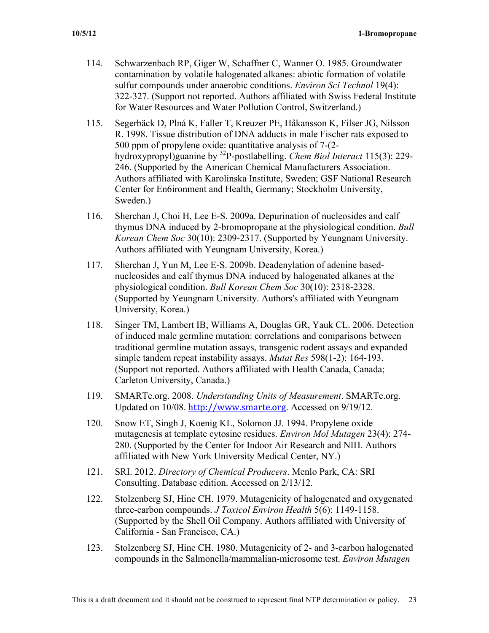- 114. Schwarzenbach RP, Giger W, Schaffner C, Wanner O. 1985. Groundwater contamination by volatile halogenated alkanes: abiotic formation of volatile sulfur compounds under anaerobic conditions. *Environ Sci Technol* 19(4): 322-327. (Support not reported. Authors affiliated with Swiss Federal Institute for Water Resources and Water Pollution Control, Switzerland.)
- 115. Segerbäck D, Plná K, Faller T, Kreuzer PE, Håkansson K, Filser JG, Nilsson R. 1998. Tissue distribution of DNA adducts in male Fischer rats exposed to 500 ppm of propylene oxide: quantitative analysis of 7-(2 hydroxypropyl)guanine by 32P-postlabelling. *Chem Biol Interact* 115(3): 229 246. (Supported by the American Chemical Manufacturers Association. Authors affiliated with Karolinska Institute, Sweden; GSF National Research Center for En6ironment and Health, Germany; Stockholm University, Sweden.)
- 116. Sherchan J, Choi H, Lee E-S. 2009a. Depurination of nucleosides and calf thymus DNA induced by 2-bromopropane at the physiological condition. *Bull Korean Chem Soc* 30(10): 2309-2317. (Supported by Yeungnam University. Authors affiliated with Yeungnam University, Korea.)
- 117. Sherchan J, Yun M, Lee E-S. 2009b. Deadenylation of adenine basednucleosides and calf thymus DNA induced by halogenated alkanes at the physiological condition. *Bull Korean Chem Soc* 30(10): 2318-2328. (Supported by Yeungnam University. Authors's affiliated with Yeungnam University, Korea.)
- 118. Singer TM, Lambert IB, Williams A, Douglas GR, Yauk CL. 2006. Detection of induced male germline mutation: correlations and comparisons between traditional germline mutation assays, transgenic rodent assays and expanded simple tandem repeat instability assays. *Mutat Res* 598(1-2): 164-193. (Support not reported. Authors affiliated with Health Canada, Canada; Carleton University, Canada.)
- 119. SMARTe.org. 2008. *Understanding Units of Measurement*. SMARTe.org. Updated on 10/08. http://www.smarte.org. Accessed on 9/19/12.
- 120. Snow ET, Singh J, Koenig KL, Solomon JJ. 1994. Propylene oxide mutagenesis at template cytosine residues. *Environ Mol Mutagen* 23(4): 274 280. (Supported by the Center for Indoor Air Research and NIH. Authors affiliated with New York University Medical Center, NY.)
- 121. SRI. 2012. *Directory of Chemical Producers*. Menlo Park, CA: SRI Consulting. Database edition. Accessed on 2/13/12.
- 122. Stolzenberg SJ, Hine CH. 1979. Mutagenicity of halogenated and oxygenated three-carbon compounds. *J Toxicol Environ Health* 5(6): 1149-1158. (Supported by the Shell Oil Company. Authors affiliated with University of California - San Francisco, CA.)
- 123. Stolzenberg SJ, Hine CH. 1980. Mutagenicity of 2- and 3-carbon halogenated compounds in the Salmonella/mammalian-microsome test. *Environ Mutagen*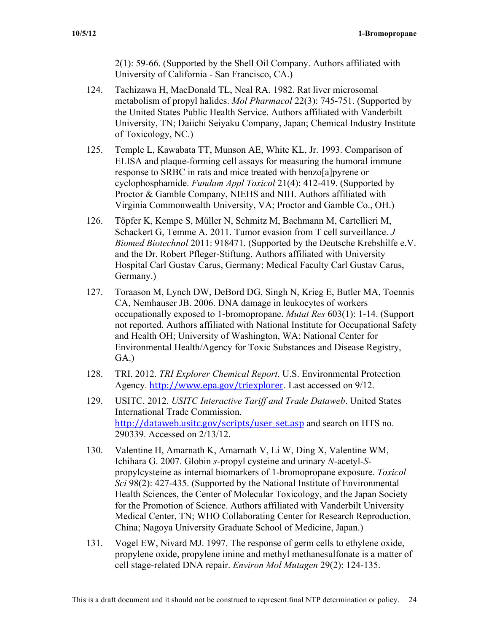2(1): 59-66. (Supported by the Shell Oil Company. Authors affiliated with University of California - San Francisco, CA.)

- 124. Tachizawa H, MacDonald TL, Neal RA. 1982. Rat liver microsomal metabolism of propyl halides. *Mol Pharmacol* 22(3): 745-751. (Supported by the United States Public Health Service. Authors affiliated with Vanderbilt University, TN; Daiichi Seiyaku Company, Japan; Chemical Industry Institute of Toxicology, NC.)
- 125. Temple L, Kawabata TT, Munson AE, White KL, Jr. 1993. Comparison of ELISA and plaque-forming cell assays for measuring the humoral immune response to SRBC in rats and mice treated with benzo[a]pyrene or cyclophosphamide. *Fundam Appl Toxicol* 21(4): 412-419. (Supported by Proctor & Gamble Company, NIEHS and NIH. Authors affiliated with Virginia Commonwealth University, VA; Proctor and Gamble Co., OH.)
- 126. Töpfer K, Kempe S, Müller N, Schmitz M, Bachmann M, Cartellieri M, Schackert G, Temme A. 2011. Tumor evasion from T cell surveillance. *J Biomed Biotechnol* 2011: 918471. (Supported by the Deutsche Krebshilfe e.V. and the Dr. Robert Pfleger-Stiftung. Authors affiliated with University Hospital Carl Gustav Carus, Germany; Medical Faculty Carl Gustav Carus, Germany.)
- 127. Toraason M, Lynch DW, DeBord DG, Singh N, Krieg E, Butler MA, Toennis CA, Nemhauser JB. 2006. DNA damage in leukocytes of workers occupationally exposed to 1-bromopropane. *Mutat Res* 603(1): 1-14. (Support not reported. Authors affiliated with National Institute for Occupational Safety and Health OH; University of Washington, WA; National Center for Environmental Health/Agency for Toxic Substances and Disease Registry, GA.)
- 128. TRI. 2012. *TRI Explorer Chemical Report*. U.S. Environmental Protection Agency. http://www.epa.gov/triexplorer. Last accessed on 9/12.
- 129. USITC. 2012. *USITC Interactive Tariff and Trade Dataweb*. United States International Trade Commission. http://dataweb.usitc.gov/scripts/user set.asp and search on HTS no. 290339. Accessed on 2/13/12.
- 130. Valentine H, Amarnath K, Amarnath V, Li W, Ding X, Valentine WM, Ichihara G. 2007. Globin *s*-propyl cysteine and urinary *N*-acetyl-*S*propylcysteine as internal biomarkers of 1-bromopropane exposure. *Toxicol Sci* 98(2): 427-435. (Supported by the National Institute of Environmental Health Sciences, the Center of Molecular Toxicology, and the Japan Society for the Promotion of Science. Authors affiliated with Vanderbilt University Medical Center, TN; WHO Collaborating Center for Research Reproduction, China; Nagoya University Graduate School of Medicine, Japan.)
- 131. Vogel EW, Nivard MJ. 1997. The response of germ cells to ethylene oxide, propylene oxide, propylene imine and methyl methanesulfonate is a matter of cell stage-related DNA repair. *Environ Mol Mutagen* 29(2): 124-135.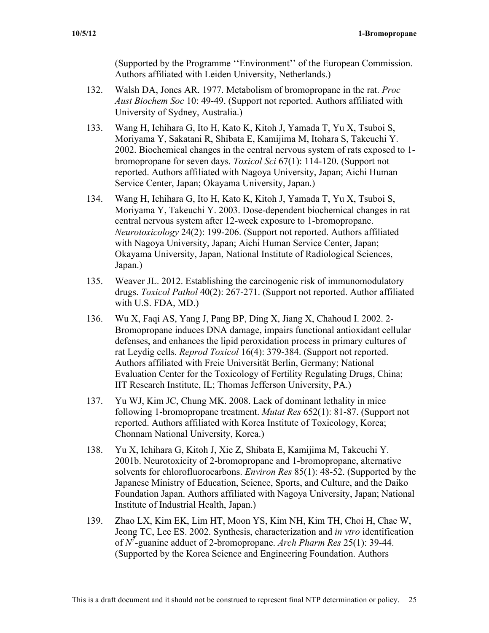(Supported by the Programme ''Environment'' of the European Commission. Authors affiliated with Leiden University, Netherlands.)

- 132. Walsh DA, Jones AR. 1977. Metabolism of bromopropane in the rat. *Proc Aust Biochem Soc* 10: 49-49. (Support not reported. Authors affiliated with University of Sydney, Australia.)
- 133. Wang H, Ichihara G, Ito H, Kato K, Kitoh J, Yamada T, Yu X, Tsuboi S, Moriyama Y, Sakatani R, Shibata E, Kamijima M, Itohara S, Takeuchi Y. 2002. Biochemical changes in the central nervous system of rats exposed to 1 bromopropane for seven days. *Toxicol Sci* 67(1): 114-120. (Support not reported. Authors affiliated with Nagoya University, Japan; Aichi Human Service Center, Japan; Okayama University, Japan.)
- 134. Wang H, Ichihara G, Ito H, Kato K, Kitoh J, Yamada T, Yu X, Tsuboi S, Moriyama Y, Takeuchi Y. 2003. Dose-dependent biochemical changes in rat central nervous system after 12-week exposure to 1-bromopropane. *Neurotoxicology* 24(2): 199-206. (Support not reported. Authors affiliated with Nagoya University, Japan; Aichi Human Service Center, Japan; Okayama University, Japan, National Institute of Radiological Sciences, Japan.)
- 135. Weaver JL. 2012. Establishing the carcinogenic risk of immunomodulatory drugs. *Toxicol Pathol* 40(2): 267-271. (Support not reported. Author affiliated with U.S. FDA, MD.)
- 136. Wu X, Faqi AS, Yang J, Pang BP, Ding X, Jiang X, Chahoud I. 2002. 2 Bromopropane induces DNA damage, impairs functional antioxidant cellular defenses, and enhances the lipid peroxidation process in primary cultures of rat Leydig cells. *Reprod Toxicol* 16(4): 379-384. (Support not reported. Authors affiliated with Freie Universität Berlin, Germany; National Evaluation Center for the Toxicology of Fertility Regulating Drugs, China; IIT Research Institute, IL; Thomas Jefferson University, PA.)
- 137. Yu WJ, Kim JC, Chung MK. 2008. Lack of dominant lethality in mice following 1-bromopropane treatment. *Mutat Res* 652(1): 81-87. (Support not reported. Authors affiliated with Korea Institute of Toxicology, Korea; Chonnam National University, Korea.)
- 138. Yu X, Ichihara G, Kitoh J, Xie Z, Shibata E, Kamijima M, Takeuchi Y. 2001b. Neurotoxicity of 2-bromopropane and 1-bromopropane, alternative solvents for chlorofluorocarbons. *Environ Res* 85(1): 48-52. (Supported by the Japanese Ministry of Education, Science, Sports, and Culture, and the Daiko Foundation Japan. Authors affiliated with Nagoya University, Japan; National Institute of Industrial Health, Japan.)
- 139. Zhao LX, Kim EK, Lim HT, Moon YS, Kim NH, Kim TH, Choi H, Chae W, Jeong TC, Lee ES. 2002. Synthesis, characterization and *in vtro* identification of *N<sup>7</sup>* -guanine adduct of 2-bromopropane. *Arch Pharm Res* 25(1): 39-44. (Supported by the Korea Science and Engineering Foundation. Authors